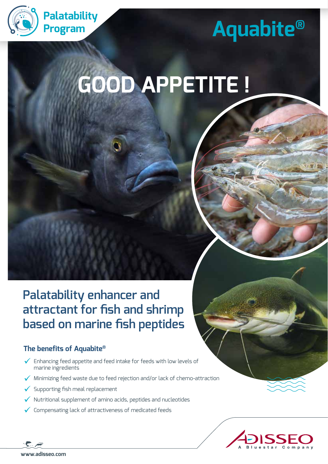

# **Palatability**<br>**Program Aquabite®**

## **GOOD APPETITE !**

**Palatability enhancer and attractant for fish and shrimp based on marine fish peptides**

## **The benefits of Aquabite®**

- $\checkmark$  Enhancing feed appetite and feed intake for feeds with low levels of marine ingredients
- Minimizing feed waste due to feed rejection and/or lack of chemo-attraction
- Supporting fish meal replacement
- Nutritional supplement of amino acids, peptides and nucleotides
- Compensating lack of attractiveness of medicated feeds